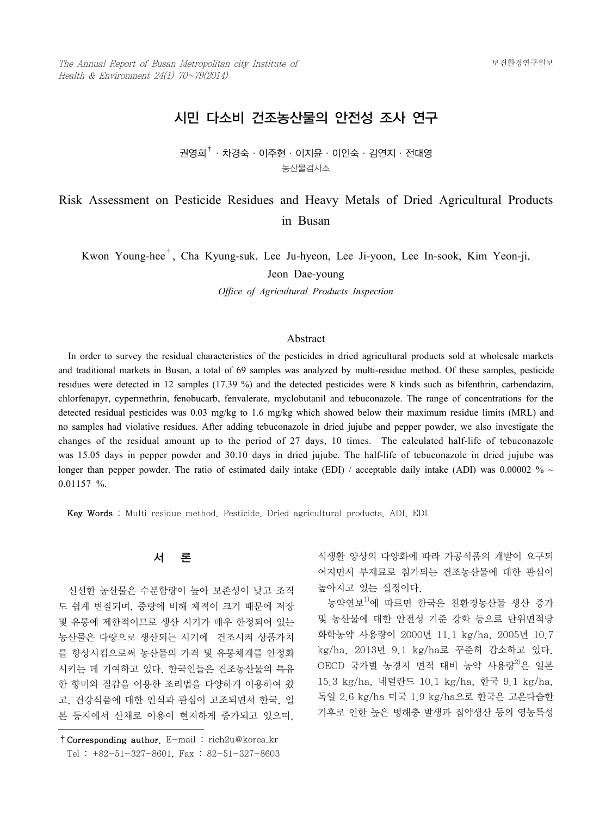# 시민 다소비 건조농산물의 안전성 조사 연구

## 권영희<sup>†</sup>· 차경숙 · 이주현 · 이지윤 · 이인숙 · 김연지 · 전대영 농산물검사소

# Risk Assessment on Pesticide Residues and Heavy Metals of Dried Agricultural Products in Busan

Kwon Young-hee†, Cha Kyung-suk, Lee Ju-hyeon, Lee Ji-yoon, Lee In-sook, Kim Yeon-ji,

Jeon Dae-young

*Office of Agricultural Products Inspection*

#### Abstract

 In order to survey the residual characteristics of the pesticides in dried agricultural products sold at wholesale markets and traditional markets in Busan, a total of 69 samples was analyzed by multi-residue method. Of these samples, pesticide residues were detected in 12 samples (17.39 %) and the detected pesticides were 8 kinds such as bifenthrin, carbendazim, chlorfenapyr, cypermethrin, fenobucarb, fenvalerate, myclobutanil and tebuconazole. The range of concentrations for the detected residual pesticides was 0.03 mg/kg to 1.6 mg/kg which showed below their maximum residue limits (MRL) and no samples had violative residues. After adding tebuconazole in dried jujube and pepper powder, we also investigate the changes of the residual amount up to the period of 27 days, 10 times. The calculated half-life of tebuconazole was 15.05 days in pepper powder and 30.10 days in dried jujube. The half-life of tebuconazole in dried jujube was longer than pepper powder. The ratio of estimated daily intake (EDI) / acceptable daily intake (ADI) was 0.00002 %  $\sim$ 0.01157 %.

Key Words : Multi residue method, Pesticide, Dried agricultural products, ADI, EDI

## 서 론

 신선한 농산물은 수분함량이 높아 보존성이 낮고 조직 도 쉽게 변질되며, 중량에 비해 체적이 크기 때문에 저장 및 유통에 제한적이므로 생산 시기가 매우 한정되어 있는 농산물은 다량으로 생산되는 시기에 건조시켜 상품가치 를 향상시킴으로써 농산물의 가격 및 유통체계를 안정화 시키는 데 기여하고 있다. 한국인들은 건조농산물의 특유 한 향미와 질감을 이용한 조리법을 다양하게 이용하여 왔 고, 건강식품에 대한 인식과 관심이 고조되면서 한국, 일 본 등지에서 산채로 이용이 현저하게 증가되고 있으며,

식생활 양상의 다양화에 따라 가공식품의 개발이 요구되 어지면서 부재료로 첨가되는 건조농산물에 대한 관심이 높아지고 있는 실정이다.

 농약연보1)에 따르면 한국은 친환경농산물 생산 증가 및 농산물에 대한 안전성 기준 강화 등으로 단위면적당 화학농약 사용량이 2000년 11.1 kg/ha, 2005년 10.7 kg/ha, 2013년 9.1 kg/ha로 꾸준히 감소하고 있다. OECD 국가별 농경지 면적 대비 농약 사용량<sup>2)</sup>은 일본 15.3 kg/ha, 네덜란드 10.1 kg/ha, 한국 9.1 kg/ha, 독일 2.6 kg/ha 미국 1.9 kg/ha으로 한국은 고온다습한 기후로 인한 높은 병해충 발생과 집약생산 등의 영농특성

<sup>†</sup>Corresponding author. E-mail : rich2u@korea.kr Tel : +82-51-327-8601, Fax : 82-51-327-8603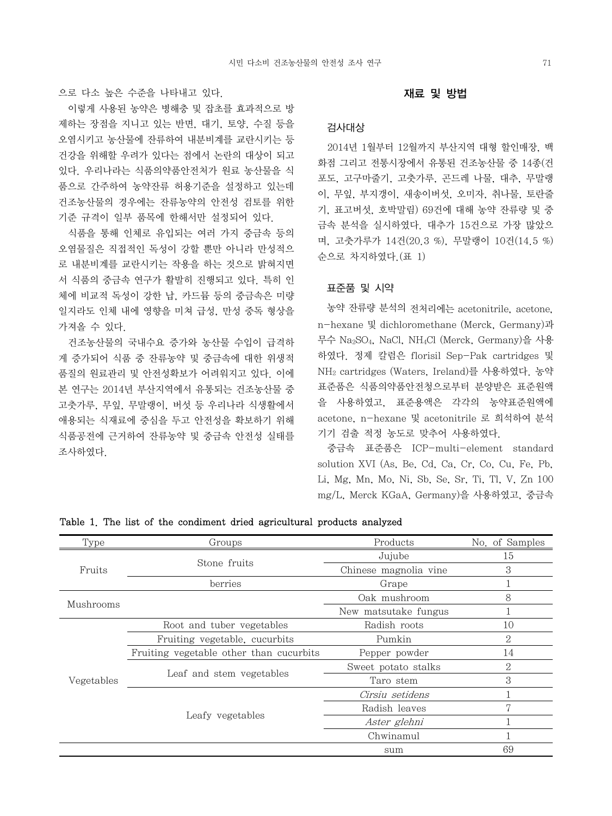으로 다소 높은 수준을 나타내고 있다.

 이렇게 사용된 농약은 병해충 및 잡초를 효과적으로 방 제하는 장점을 지니고 있는 반면, 대기, 토양, 수질 등을 오염시키고 농산물에 잔류하여 내분비계를 교란시키는 등 건강을 위해할 우려가 있다는 점에서 논란의 대상이 되고 있다. 우리나라는 식품의약품안전처가 원료 농산물을 식 품으로 간주하여 농약잔류 허용기준을 설정하고 있는데 건조농산물의 경우에는 잔류농약의 안전성 검토를 위한 기준 규격이 일부 품목에 한해서만 설정되어 있다.

 식품을 통해 인체로 유입되는 여러 가지 중금속 등의 오염물질은 직접적인 독성이 강할 뿐만 아니라 만성적으 로 내분비계를 교란시키는 작용을 하는 것으로 밝혀지면 서 식품의 중금속 연구가 활발히 진행되고 있다. 특히 인 체에 비교적 독성이 강한 납, 카드뮴 등의 중금속은 미량 일지라도 인체 내에 영향을 미쳐 급성, 만성 중독 형상을 가져올 수 있다.

 건조농산물의 국내수요 증가와 농산물 수입이 급격하 게 증가되어 식품 중 잔류농약 및 중금속에 대한 위생적 품질의 원료관리 및 안전성확보가 어려워지고 있다. 이에 본 연구는 2014년 부산지역에서 유통되는 건조농산물 중 고춧가루, 무잎, 무말랭이, 버섯 등 우리나라 식생활에서 애용되는 식재료에 중심을 두고 안전성을 확보하기 위해 식품공전에 근거하여 잔류농약 및 중금속 안전성 실태를 조사하였다.

#### 재료 및 방법

#### 검사대상

 2014년 1월부터 12월까지 부산지역 대형 할인매장, 백 화점 그리고 전통시장에서 유통된 건조농산물 중 14종(건 포도, 고구마줄기, 고춧가루, 곤드레 나물, 대추, 무말랭 이, 무잎, 부지갱이, 새송이버섯, 오미자, 취나물, 토란줄 기, 표고버섯, 호박말림) 69건에 대해 농약 잔류량 및 중 금속 분석을 실시하였다. 대추가 15건으로 가장 많았으 며, 고춧가루가 14건(20.3 %), 무말랭이 10건(14.5 %) 순으로 차지하였다.(표 1)

#### 표준품 및 시약

 농약 잔류량 분석의 전처리에는 acetonitrile, acetone, n-hexane 및 dichloromethane (Merck, Germany)과 무수 Na2SO4, NaCl, NH4Cl (Merck, Germany)을 사용 하였다. 정제 칼럼은 florisil Sep-Pak cartridges 및 NH2 cartridges (Waters, Ireland)를 사용하였다. 농약 표준품은 식품의약품안전청으로부터 분양받은 표준원액 을 사용하였고, 표준용액은 각각의 농약표준원액에 acetone, n-hexane 및 acetonitrile 로 희석하여 분석 기기 검출 적정 농도로 맞추어 사용하였다.

 중금속 표준품은 ICP-multi-element standard solution XVI (As, Be, Cd, Ca, Cr, Co, Cu, Fe, Pb, Li, Mg, Mn, Mo, Ni, Sb, Se, Sr, Ti, Tl, V, Zn 100 mg/L, Merck KGaA, Germany)을 사용하였고, 중금속

| Type       | Groups                                  | Products              | No. of Samples |
|------------|-----------------------------------------|-----------------------|----------------|
|            | Stone fruits                            | Jujube                | 15             |
| Fruits     |                                         | Chinese magnolia vine | 3              |
|            | berries                                 | Grape                 |                |
|            |                                         | Oak mushroom          | 8              |
| Mushrooms  |                                         | New matsutake fungus  |                |
|            | Root and tuber vegetables               | Radish roots          | 10             |
|            | Fruiting vegetable, cucurbits           | Pumkin                | $\overline{2}$ |
|            | Fruiting vegetable other than cucurbits | Pepper powder         | 14             |
|            |                                         | Sweet potato stalks   | 2              |
| Vegetables | Leaf and stem vegetables                | Taro stem             | 3              |
|            |                                         | Cirsiu setidens       |                |
|            |                                         | Radish leaves         | 17             |
|            | Leafy vegetables                        | Aster glehni          |                |
|            |                                         | Chwinamul             |                |
|            |                                         | sum                   | 69             |

Table 1. The list of the condiment dried agricultural products analyzed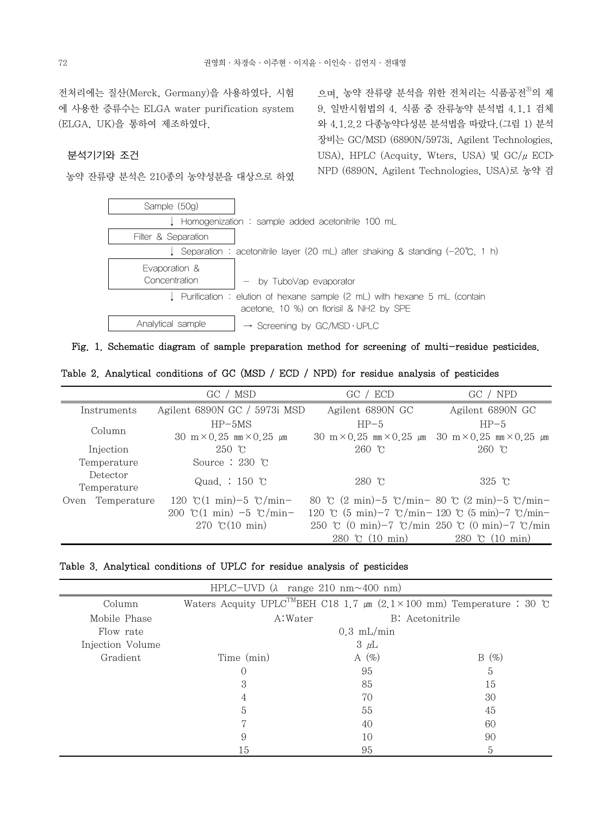전처리에는 질산(Merck, Germany)을 사용하였다. 시험 에 사용한 증류수는 ELGA water purification system (ELGA, UK)을 통하여 제조하였다.

## 분석기기와 조건

농약 잔류량 분석은 210종의 농약성분을 대상으로 하였

으며, 농약 잔류량 분석을 위한 전처리는 식품공전<sup>3)</sup>의 제 9. 일반시험법의 4. 식품 중 잔류농약 분석법 4.1.1 검체 와 4.1.2.2 다종농약다성분 분석법을 따랐다.(그림 1) 분석 장비는 GC/MSD (6890N/5973i, Agilent Technologies, USA), HPLC (Acquity, Wters, USA) 및  $GC/\mu$  ECD NPD (6890N, Agilent Technologies, USA)로 농약 검



Fig. 1. Schematic diagram of sample preparation method for screening of multi-residue pesticides.

Table 2. Analytical conditions of GC (MSD / ECD / NPD) for residue analysis of pesticides

|                         | GC / MSD                                    | GC / ECD                                                                                | GC / NPD               |
|-------------------------|---------------------------------------------|-----------------------------------------------------------------------------------------|------------------------|
| Instruments             | Agilent 6890N GC / 5973i MSD                | Agilent 6890N GC                                                                        | Agilent 6890N GC       |
| Column                  | $HP-5MS$                                    | $HP-5$                                                                                  | $HP-5$                 |
|                         | 30 m $\times$ 0.25 mm $\times$ 0.25 $\mu$ m | 30 m $\times$ 0.25 mm $\times$ 0.25 $\mu$ m 30 m $\times$ 0.25 mm $\times$ 0.25 $\mu$ m |                        |
| Injection               | $250 \text{ }^{\circ}\text{C}$              | $260$ °C                                                                                | $260$ °C               |
| Temperature             | Source $: 230$ °C                           |                                                                                         |                        |
| Detector<br>Temperature | Quad.: $150$ °C                             | $280$ °C                                                                                | $325$ °C               |
| Oven Temperature        | 120 °C(1 min) – 5 °C/min –                  | 80 °C $(2 \text{ min})$ -5 °C/min-80 °C $(2 \text{ min})$ -5 °C/min-                    |                        |
|                         | 200 °C(1 min) $-5$ °C/min-                  | 120 °C (5 min)-7 °C/min-120 °C (5 min)-7 °C/min-                                        |                        |
|                         | 270 °C(10 min)                              | 250 °C (0 min) - 7 °C/min 250 °C (0 min) - 7 °C/min                                     |                        |
|                         |                                             | $280 \text{ °C}$ (10 min)                                                               | 280 $\degree$ (10 min) |

Table 3. Analytical conditions of UPLC for residue analysis of pesticides

|                  |            | HPLC-UVD $(\lambda$ range 210 nm $\sim$ 400 nm) |                                                                                        |
|------------------|------------|-------------------------------------------------|----------------------------------------------------------------------------------------|
| Column           |            |                                                 | Waters Acquity UPLC <sup>TM</sup> BEH C18 1.7 $\mu$ m (2.1×100 mm) Temperature : 30 °C |
| Mobile Phase     | A:Water    |                                                 | B: Acetonitrile                                                                        |
| Flow rate        |            | $0.3$ mL/min                                    |                                                                                        |
| Injection Volume |            | $3 \mu L$                                       |                                                                                        |
| Gradient         | Time (min) | A $(\% )$                                       | $B(\%)$                                                                                |
|                  |            | 95                                              | 5                                                                                      |
|                  | 3          | 85                                              | 15                                                                                     |
|                  |            | 70                                              | 30                                                                                     |
|                  | 5          | 55                                              | 45                                                                                     |
|                  |            | 40                                              | 60                                                                                     |
|                  | 9          | 10                                              | 90                                                                                     |
|                  | l5         | 95                                              | 5                                                                                      |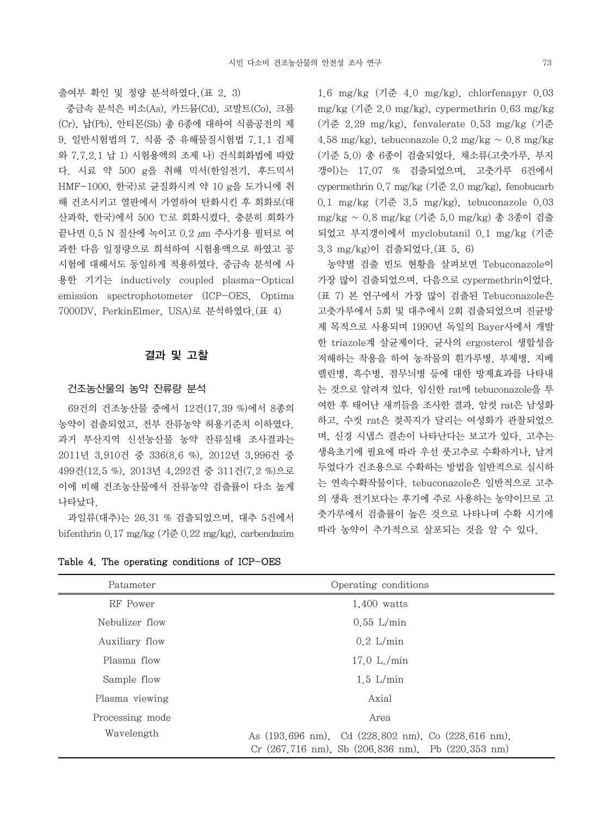출여부 확인 및 정량 분석하였다.(표 2, 3)

 중금속 분석은 비소(As), 카드뮴(Cd), 코발트(Co), 크롬 (Cr), 납(Pb), 안티몬(Sb) 총 6종에 대하여 식품공전의 제 9. 일반시험법의 7. 식품 중 유해물질시험법 7.1.1 검체 와 7.7.2.1 납 1) 시험용액의 조제 나) 건식회화법에 따랐 다. 시료 약 500 g을 취해 믹서(한일전기, 후드믹서 HMF-1000, 한국)로 균질화시켜 약 10 g을 도가니에 취 해 건조시키고 열판에서 가열하여 탄화시킨 후 회화로(대 산과학, 한국)에서 500 ℃로 회화시켰다. 충분히 회화가 끝나면 0.5 N 질산에 녹이고 0.2 μm 주사기용 필터로 여 과한 다음 일정량으로 희석하여 시험용액으로 하였고 공 시험에 대해서도 동일하게 적용하였다. 중금속 분석에 사 용한 기기는 inductively coupled plasma-Optical emission spectrophotometer (ICP-OES, Optima 7000DV, PerkinElmer, USA)로 분석하였다.(표 4)

### 결과 및 고찰

#### 건조농산물의 농약 잔류량 분석

 69건의 건조농산물 중에서 12건(17.39 %)에서 8종의 농약이 검출되었고, 전부 잔류농약 허용기준치 이하였다. 과거 부산지역 신선농산물 농약 잔류실태 조사결과는 2011년 3,910건 중 336(8.6 %), 2012년 3,996건 중 499건(12.5 %), 2013년 4,292건 중 311건(7.2 %)으로 이에 비해 건조농산물에서 잔류농약 검출률이 다소 높게 나타났다.

 과일류(대추)는 26.31 % 검출되었으며, 대추 5건에서 bifenthrin 0.17 mg/kg (기준 0.22 mg/kg), carbendazim

Table 4. The operating conditions of ICP-OES

1.6 mg/kg (기준 4.0 mg/kg), chlorfenapyr 0.03 mg/kg (기준 2.0 mg/kg), cypermethrin 0.63 mg/kg (기준 2.29 mg/kg), fenvalerate 0.53 mg/kg (기준 4.58 mg/kg), tebuconazole 0.2 mg/kg  $\sim$  0.8 mg/kg (기준 5.0) 총 6종이 검출되었다. 채소류(고춧가루, 부지 갱이)는 17.07 % 검출되었으며, 고춧가루 6건에서 cypermethrin 0.7 mg/kg (기준 2.0 mg/kg), fenobucarb 0.1 mg/kg (기준 3.5 mg/kg), tebuconazole 0.03 mg/kg ~ 0.8 mg/kg (기준 5.0 mg/kg) 총 3종이 검출 되었고 부지갱이에서 myclobutanil 0.1 mg/kg (기준 3.3 mg/kg)이 검출되었다.(표 5, 6)

 농약별 검출 빈도 현황을 살펴보면 Tebuconazole이 가장 많이 검출되었으며, 다음으로 cypermethrin이었다. (표 7) 본 연구에서 가장 많이 검출된 Tebuconazole은 고춧가루에서 5회 및 대추에서 2회 검출되었으며 진균방 제 목적으로 사용되며 1990년 독일의 Bayer사에서 개발 한 triazole계 살균제이다. 균사의 ergosterol 생합성을 저해하는 작용을 하여 농작물의 흰가루병, 부제병, 지베 렐린병, 흑수병, 점무늬병 등에 대한 방제효과를 나타내 는 것으로 알려져 있다. 임신한 rat에 tebuconazole을 투 여한 후 태어난 새끼들을 조사한 결과, 암컷 rat은 남성화 하고, 수컷 rat은 젖꼭지가 달리는 여성화가 관찰되었으 며, 신경 시냅스 결손이 나타난다는 보고가 있다. 고추는 생육초기에 필요에 따라 우선 풋고추로 수확하거나, 남겨 두었다가 건조용으로 수확하는 방법을 일반적으로 실시하 는 연속수확작물이다. tebuconazole은 일반적으로 고추 의 생육 전기보다는 후기에 주로 사용하는 농약이므로 고 춧가루에서 검출률이 높은 것으로 나타나며 수확 시기에 따라 농약이 추가적으로 살포되는 것을 알 수 있다.

| Patameter       | Operating conditions                                                                                      |
|-----------------|-----------------------------------------------------------------------------------------------------------|
| RF Power        | 1,400 watts                                                                                               |
| Nebulizer flow  | $0.55$ L/min                                                                                              |
| Auxiliary flow  | $0.2$ L/min                                                                                               |
| Plasma flow     | 17.0 L/min                                                                                                |
| Sample flow     | $1.5$ L/min                                                                                               |
| Plasma viewing  | Axial                                                                                                     |
| Processing mode | Area                                                                                                      |
| Wavelength      | As (193,696 nm), Cd (228,802 nm), Co (228,616 nm),<br>$Cr$ (267,716 nm), Sb (206,836 nm), Pb (220,353 nm) |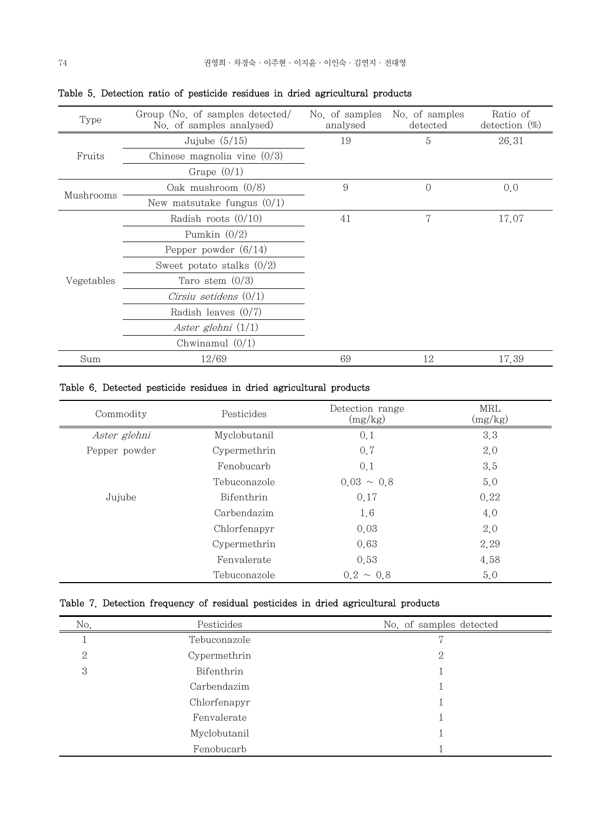| Type       | Group (No. of samples detected/<br>No. of samples analysed) | No. of samples<br>analysed | No. of samples<br>detected | Ratio of<br>detection $(\%)$ |
|------------|-------------------------------------------------------------|----------------------------|----------------------------|------------------------------|
|            | Jujube $(5/15)$                                             | 19                         | 5                          | 26.31                        |
| Fruits     | Chinese magnolia vine $(0/3)$                               |                            |                            |                              |
|            | Grape $(0/1)$                                               |                            |                            |                              |
|            | Oak mushroom $(0/8)$                                        | 9                          | $\Omega$                   | 0,0                          |
| Mushrooms  | New matsutake fungus $(0/1)$                                |                            |                            |                              |
|            | Radish roots $(0/10)$                                       | 41                         | 7                          | 17.07                        |
|            | Pumkin $(0/2)$                                              |                            |                            |                              |
|            | Pepper powder $(6/14)$                                      |                            |                            |                              |
|            | Sweet potato stalks $(0/2)$                                 |                            |                            |                              |
| Vegetables | Taro stem $(0/3)$                                           |                            |                            |                              |
|            | Cirsiu setidens $(0/1)$                                     |                            |                            |                              |
|            | Radish leaves $(0/7)$                                       |                            |                            |                              |
|            | Aster glehni $(1/1)$                                        |                            |                            |                              |
|            | Chwinamul $(0/1)$                                           |                            |                            |                              |
| Sum        | 12/69                                                       | 69                         | 12                         | 17.39                        |

|  |  |  |  | Table 5. Detection ratio of pesticide residues in dried agricultural products |  |
|--|--|--|--|-------------------------------------------------------------------------------|--|
|  |  |  |  |                                                                               |  |

## Table 6. Detected pesticide residues in dried agricultural products

| Commodity     | Pesticides   | Detection range<br>(mg/kg) | MRL<br>(mg/kg) |
|---------------|--------------|----------------------------|----------------|
| Aster glehni  | Myclobutanil | 0.1                        | 3.3            |
| Pepper powder | Cypermethrin | 0.7                        | 2.0            |
|               | Fenobucarb   | 0,1                        | 3.5            |
|               | Tebuconazole | $0.03 \sim 0.8$            | 5,0            |
| Jujube        | Bifenthrin   | 0.17                       | 0.22           |
|               | Carbendazim  | 1.6                        | 4,0            |
|               | Chlorfenapyr | 0.03                       | 2.0            |
|               | Cypermethrin | 0.63                       | 2.29           |
|               | Fenvalerate  | 0.53                       | 4.58           |
|               | Tebuconazole | $0.2 \sim 0.8$             | 5,0            |

## Table 7. Detection frequency of residual pesticides in dried agricultural products

| No.          | Pesticides   | No. of samples detected |
|--------------|--------------|-------------------------|
|              | Tebuconazole |                         |
| $\mathbf{2}$ | Cypermethrin | 2                       |
| 3            | Bifenthrin   |                         |
|              | Carbendazim  |                         |
|              | Chlorfenapyr |                         |
|              | Fenvalerate  |                         |
|              | Myclobutanil |                         |
|              | Fenobucarb   |                         |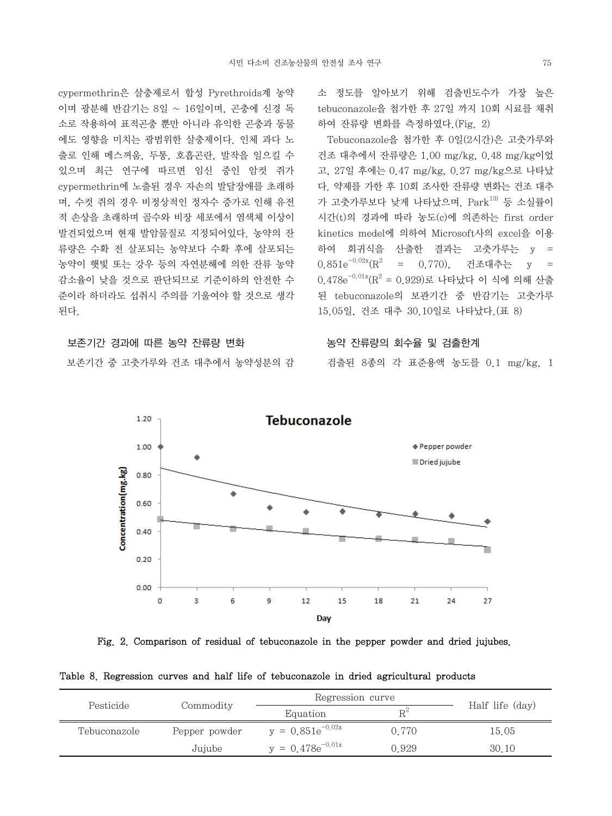cypermethrin은 살충제로서 합성 Pyrethroids계 농약 이며 광분해 반감기는 8일 ~ 16일이며, 곤충에 신경 독 소로 작용하여 표적곤충 뿐만 아니라 유익한 곤충과 동물 에도 영향을 미치는 광범위한 살충제이다. 인체 과다 노 출로 인해 메스꺼움, 두통, 호흡곤란, 발작을 일으킬 수 있으며 최근 연구에 따르면 임신 중인 암컷 쥐가 cypermethrin에 노출된 경우 자손의 발달장애를 초래하 며, 수컷 쥐의 경우 비정상적인 정자수 증가로 인해 유전 적 손상을 초래하며 골수와 비장 세포에서 염색체 이상이 발견되었으며 현재 발암물질로 지정되어있다. 농약의 잔 류량은 수확 전 살포되는 농약보다 수확 후에 살포되는 농약이 햇빛 또는 강우 등의 자연분해에 의한 잔류 농약 감소율이 낮을 것으로 판단되므로 기준이하의 안전한 수 준이라 하더라도 섭취시 주의를 기울여야 할 것으로 생각 된다.

#### 보존기간 경과에 따른 농약 잔류량 변화

보존기간 중 고춧가루와 건조 대추에서 농약성분의 감

소 정도를 알아보기 위해 검출빈도수가 가장 높은 tebuconazole을 첨가한 후 27일 까지 10회 시료를 채취 하여 잔류량 변화를 측정하였다.(Fig. 2)

 Tebuconazole을 첨가한 후 0일(2시간)은 고춧가루와 건조 대추에서 잔류량은 1.00 mg/kg, 0.48 mg/kg이었 고, 27일 후에는 0.47 mg/kg, 0.27 mg/kg으로 나타났 다. 약제를 가한 후 10회 조사한 잔류량 변화는 건조 대추 가 고춧가루보다 낮게 나타났으며.  $\text{Park}^{13}$  등 소실률이 시간(t)의 경과에 따라 농도(c)에 의존하는 first order kinetics medel에 의하여 Microsoft사의 excel을 이용 하여 회귀식을 산출한 결과는 고춧가루는 y = 0.851 $e^{-0.02x}$  $(R^2)$  = 0.770), 건조대추는 y =  $0.478 \mathrm{e}^{-0.01 \mathrm{x}} (\mathrm{R}^2 = 0.929)$ 로 나타났다 이 식에 의해 산출 된 tebuconazole의 보관기간 중 반감기는 고춧가루 15.05일, 건조 대추 30.10일로 나타났다.(표 8)

#### 농약 잔류량의 회수율 및 검출한계

검출된 8종의 각 표준용액 농도를 0.1 mg/kg, 1



Fig. 2. Comparison of residual of tebuconazole in the pepper powder and dried jujubes.

Table 8. Regression curves and half life of tebuconazole in dried agricultural products

|              |               | Regression curve      |       |                 |
|--------------|---------------|-----------------------|-------|-----------------|
| Pesticide    | Commodity     | Equation              | $R^2$ | Half life (day) |
| Tebuconazole | Pepper powder | $y = 0.851e^{-0.02x}$ | 0.770 | 15.05           |
|              | Jujube        | $y = 0.478e^{-0.01x}$ | 0.929 | 30.10           |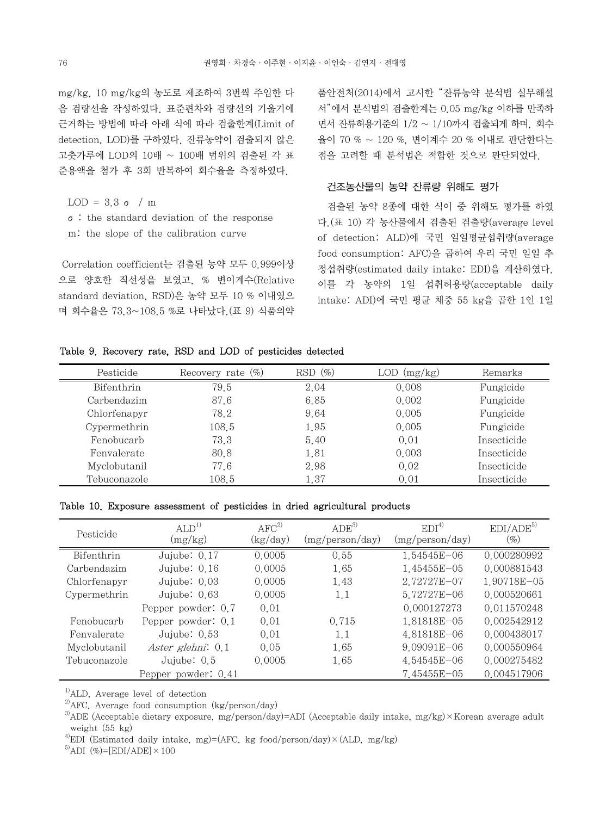mg/kg, 10 mg/kg의 농도로 제조하여 3번씩 주입한 다 음 검량선을 작성하였다. 표준편차와 검량선의 기울기에 근거하는 방법에 따라 아래 식에 따라 검출한계(Limit of detection, LOD)를 구하였다. 잔류농약이 검출되지 않은 고춧가루에 LOD의 10배 ~ 100배 범위의 검출된 각 표 준용액을 첨가 후 3회 반복하여 회수율을 측정하였다.

LOD =  $3.3 \sigma / m$ 

 σ: the standard deviation of the response m: the slope of the calibration curve

 Correlation coefficient는 검출된 농약 모두 0.999이상 으로 양호한 직선성을 보였고, % 변이계수(Relative standard deviation, RSD)은 농약 모두 10 % 이내였으 며 회수율은 73.3~108.5 %로 나타났다.(표 9) 식품의약

품안전처(2014)에서 고시한 "잔류농약 분석법 실무해설 서"에서 분석법의 검출한계는 0.05 mg/kg 이하를 만족하 면서 잔류허용기준의 1/2 ~ 1/10까지 검출되게 하며, 회수 율이 70 % ~ 120 %, 변이계수 20 % 이내로 판단한다는 점을 고려할 때 분석법은 적합한 것으로 판단되었다.

#### 건조농산물의 농약 잔류량 위해도 평가

 검출된 농약 8종에 대한 식이 중 위해도 평가를 하였 다.(표 10) 각 농산물에서 검출된 검출량(average level of detection: ALD)에 국민 일일평균섭취량(average food consumption: AFC)을 곱하여 우리 국민 일일 추 정섭취량(estimated daily intake: EDI)을 계산하였다. 이를 각 농약의 1일 섭취허용량(acceptable daily intake: ADI)에 국민 평균 체중 55 kg을 곱한 1인 1일

#### Table 9. Recovery rate, RSD and LOD of pesticides detected

| Pesticide    | Recovery rate $(\%)$ | $(\%)$<br>RSD | (mg/kg)<br>LOD | Remarks     |
|--------------|----------------------|---------------|----------------|-------------|
| Bifenthrin   | 79.5                 | 2.04          | 0.008          | Fungicide   |
| Carbendazim  | 87.6                 | 6.85          | 0.002          | Fungicide   |
| Chlorfenapyr | 78.2                 | 9.64          | 0.005          | Fungicide   |
| Cypermethrin | 108.5                | 1.95          | 0.005          | Fungicide   |
| Fenobucarb   | 73.3                 | 5.40          | 0.01           | Insecticide |
| Fenvalerate  | 80.8                 | 1.81          | 0.003          | Insecticide |
| Myclobutanil | 77.6                 | 2.98          | 0.02           | Insecticide |
| Tebuconazole | 108.5                | 1.37          | 0.01           | Insecticide |

Table 10. Exposure assessment of pesticides in dried agricultural products

| Pesticide    | ALD <sup>1</sup><br>(mg/kg) | $AFC^{2)}$<br>(kg/day) | ADE <sup>3</sup><br>(mg/person/day) | EDI <sup>4</sup><br>(mg/person/day) | EDI/ADE <sup>5)</sup><br>$(\%)$ |
|--------------|-----------------------------|------------------------|-------------------------------------|-------------------------------------|---------------------------------|
| Bifenthrin   | Jujube: 0.17                | 0.0005                 | 0.55                                | 1.54545E-06                         | 0.000280992                     |
| Carbendazim  | Jujube: $0.16$              | 0.0005                 | 1.65                                | 1.45455E-05                         | 0.000881543                     |
| Chlorfenapyr | Jujube: $0.03$              | 0.0005                 | 1.43                                | 2.72727E-07                         | 1.90718E-05                     |
| Cypermethrin | Jujube: $0.63$              | 0.0005                 | 1.1                                 | 5.72727E-06                         | 0.000520661                     |
|              | Pepper powder: 0.7          | 0.01                   |                                     | 0.000127273                         | 0.011570248                     |
| Fenobucarb   | Pepper powder: 0.1          | 0.01                   | 0.715                               | 1,81818E-05                         | 0.002542912                     |
| Fenvalerate  | Jujube: $0.53$              | 0.01                   | 1.1                                 | 4.81818E-06                         | 0.000438017                     |
| Myclobutanil | Aster glehni: 0.1           | 0.05                   | 1.65                                | $9.09091E - 06$                     | 0.000550964                     |
| Tebuconazole | Jujube: $0.5$               | 0.0005                 | 1.65                                | 4.54545E-06                         | 0.000275482                     |
|              | Pepper powder: 0.41         |                        |                                     | 7.45455E-05                         | 0.004517906                     |

 $<sup>1</sup>$ ALD, Average level of detection</sup>

 $^{5)}$ ADI (%)=[EDI/ADE]  $\times$  100

<sup>2)</sup>AFC, Average food consumption (kg/person/day)

 $3$ ADE (Acceptable dietary exposure, mg/person/day)=ADI (Acceptable daily intake, mg/kg)×Korean average adult weight (55 kg)

<sup>&</sup>lt;sup>4)</sup>EDI (Estimated daily intake, mg)=(AFC, kg food/person/day) $\times$ (ALD, mg/kg)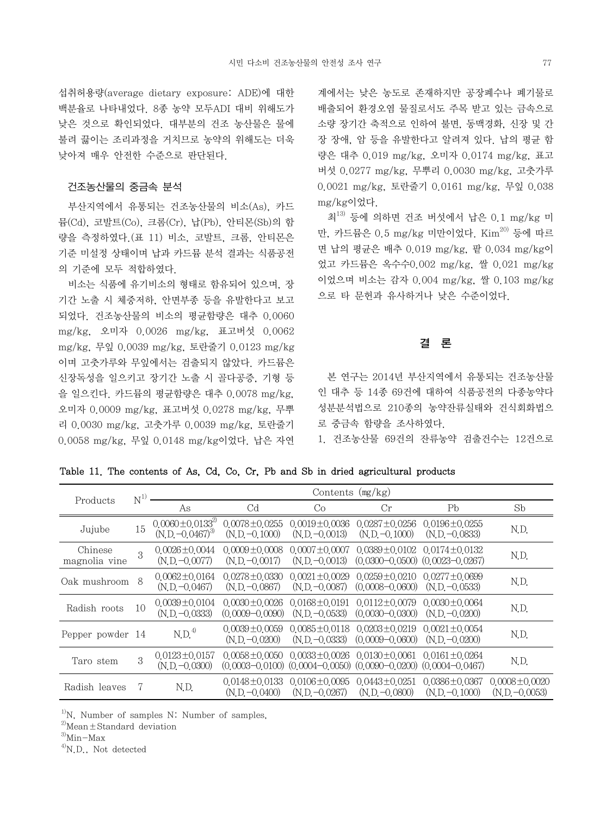섭취허용량(average dietary exposure: ADE)에 대한 백분율로 나타내었다. 8종 농약 모두ADI 대비 위해도가 낮은 것으로 확인되었다. 대부분의 건조 농산물은 물에 불려 끓이는 조리과정을 거치므로 농약의 위해도는 더욱 낮아져 매우 안전한 수준으로 판단된다.

#### 건조농산물의 중금속 분석

 부산지역에서 유통되는 건조농산물의 비소(As), 카드 뮴(Cd), 코발트(Co), 크롬(Cr), 납(Pb), 안티몬(Sb)의 함 량을 측정하였다.(표 11) 비소, 코발트, 크롬, 안티몬은 기준 미설정 상태이며 납과 카드뮴 분석 결과는 식품공전 의 기준에 모두 적합하였다.

 비소는 식품에 유기비소의 형태로 함유되어 있으며, 장 기간 노출 시 체중저하, 안면부종 등을 유발한다고 보고 되었다. 건조농산물의 비소의 평균함량은 대추 0.0060 mg/kg, 오미자 0.0026 mg/kg, 표고버섯 0.0062 mg/kg, 무잎 0.0039 mg/kg, 토란줄기 0.0123 mg/kg 이며 고춧가루와 무잎에서는 검출되지 않았다. 카드뮴은 신장독성을 일으키고 장기간 노출 시 골다공증, 기형 등 을 일으킨다. 카드뮴의 평균함량은 대추 0.0078 mg/kg, 오미자 0.0009 mg/kg, 표고버섯 0.0278 mg/kg, 무뿌 리 0.0030 mg/kg, 고춧가루 0.0039 mg/kg, 토란줄기 0.0058 mg/kg, 무잎 0.0148 mg/kg이었다. 납은 자연 계에서는 낮은 농도로 존재하지만 공장폐수나 폐기물로 배출되어 환경오염 물질로서도 주목 받고 있는 금속으로 소량 장기간 축적으로 인하여 불면, 동맥경화, 신장 및 간 장 장애, 암 등을 유발한다고 알려져 있다. 납의 평균 함 량은 대추 0.019 mg/kg, 오미자 0.0174 mg/kg, 표고 버섯 0.0277 mg/kg, 무뿌리 0.0030 mg/kg, 고춧가루 0.0021 mg/kg, 토란줄기 0.0161 mg/kg, 무잎 0.038 mg/kg이었다.

 최13) 등에 의하면 건조 버섯에서 납은 0.1 mg/kg 미 만, 카드뮴은 0.5 mg/kg 미만이었다. Kim<sup>20)</sup> 등에 따르 면 납의 평균은 배추 0.019 mg/kg, 팥 0.034 mg/kg이 었고 카드뮴은 옥수수0.002 mg/kg, 쌀 0.021 mg/kg 이었으며 비소는 감자 0.004 mg/kg, 쌀 0.103 mg/kg 으로 타 문헌과 유사하거나 낮은 수준이었다.

#### 결 론

 본 연구는 2014년 부산지역에서 유통되는 건조농산물 인 대추 등 14종 69건에 대하여 식품공전의 다종농약다 성분분석법으로 210종의 농약잔류실태와 건식회화법으 로 중금속 함량을 조사하였다.

1. 건조농산물 69건의 잔류농약 검출건수는 12건으로

Table 11. The contents of As, Cd, Co, Cr, Pb and Sb in dried agricultural products

| Products                 | $\mathrm{N}^{1)}$ | Contents $(mg/kg)$                                      |                                            |                                                                                                                            |                                                                                    |                                         |                                         |
|--------------------------|-------------------|---------------------------------------------------------|--------------------------------------------|----------------------------------------------------------------------------------------------------------------------------|------------------------------------------------------------------------------------|-----------------------------------------|-----------------------------------------|
|                          |                   | As                                                      | C <sub>d</sub>                             | Co                                                                                                                         | Cr                                                                                 | Pb                                      | Sb                                      |
| Jujube                   | 15                | $0.0060 \pm 0.0133^{2}$<br>(N.D. -0.0467) <sup>3)</sup> | $0.0078 \pm 0.0255$<br>$(N.D. -0.1000)$    | $0.0019 \pm 0.0036$<br>$(N.D. -0.0013)$                                                                                    | $0.0287 \pm 0.0256$<br>$(N.D. -0.1000)$                                            | $0.0196 \pm 0.0255$<br>$(N.D. -0.0833)$ | N.D.                                    |
| Chinese<br>magnolia vine | 3                 | $0.0026 \pm 0.0044$<br>$(N.D. -0.0077)$                 | $0.0009 \pm 0.0008$<br>$(N.D. -0.0017)$    | $0.0007 \pm 0.0007$<br>$(N.D - 0.0013)$                                                                                    | $0.0389 \pm 0.0102$ $0.0174 \pm 0.0132$<br>$(0.0300 - 0.0500)$ $(0.0023 - 0.0267)$ |                                         | N.D.                                    |
| Oak mushroom             | 8                 | $0.0062 \pm 0.0164$<br>$(N.D. -0.0467)$                 | $0.0278 \pm 0.0330$<br>$(N.D. -0.0867)$    | $0.0021 \pm 0.0029$<br>$(N.D. -0.0087)$                                                                                    | $0.0259 \pm 0.0210$ $0.0277 \pm 0.0699$<br>$(0.0008 - 0.0600)$                     | $(N.D. -0.0533)$                        | N.D.                                    |
| Radish roots             | 10                | $0.0039 \pm 0.0104$<br>$(N.D. -0.0333)$                 | $0.0030 \pm 0.0026$<br>$(0.0009 - 0.0090)$ | $0.0168 \pm 0.0191$<br>$(N.D. -0.0533)$                                                                                    | $0.0112 \pm 0.0079$<br>$(0.0030 - 0.0300)$                                         | $0.0030 \pm 0.0064$<br>$(N.D -0.0200)$  | N.D.                                    |
| Pepper powder 14         |                   | N.D. <sup>4</sup>                                       | $0.0039 \pm 0.0059$<br>$(N.D. -0.0200)$    | $(N.D. -0.0333)$                                                                                                           | $0.0085 \pm 0.0118$ $0.0203 \pm 0.0219$<br>$(0,0009 - 0,0600)$                     | $0.0021 \pm 0.0054$<br>$(N.D - 0.0200)$ | N.D.                                    |
| Taro stem                | 3                 | $0.0123 \pm 0.0157$<br>$(N.D. -0.0300)$                 | $0.0058 \pm 0.0050$                        | $0.0033 \pm 0.0026$ $0.0130 \pm 0.0061$<br>$(0.0003 - 0.0100)$ $(0.0004 - 0.0050)$ $(0.0090 - 0.0200)$ $(0.0004 - 0.0467)$ |                                                                                    | $0.0161 \pm 0.0264$                     | N.D.                                    |
| Radish leaves            | 7                 | N.D.                                                    | $0.0148 \pm 0.0133$<br>$(N.D. -0.0400)$    | $0.0106 \pm 0.0095$<br>$(N.D. -0.0267)$                                                                                    | $0.0443 \pm 0.0251$<br>$(N.D. -0.0800)$                                            | $0.0386 \pm 0.0367$<br>$(N.D. -0.1000)$ | $0.0008 \pm 0.0020$<br>$(N.D. -0.0053)$ |

 $1)$ N. Number of samples N: Number of samples,

 $^{2)}$ Mean $\pm$ Standard deviation

 $^{3)}$ Min-Max

<sup>4)</sup>N.D., Not detected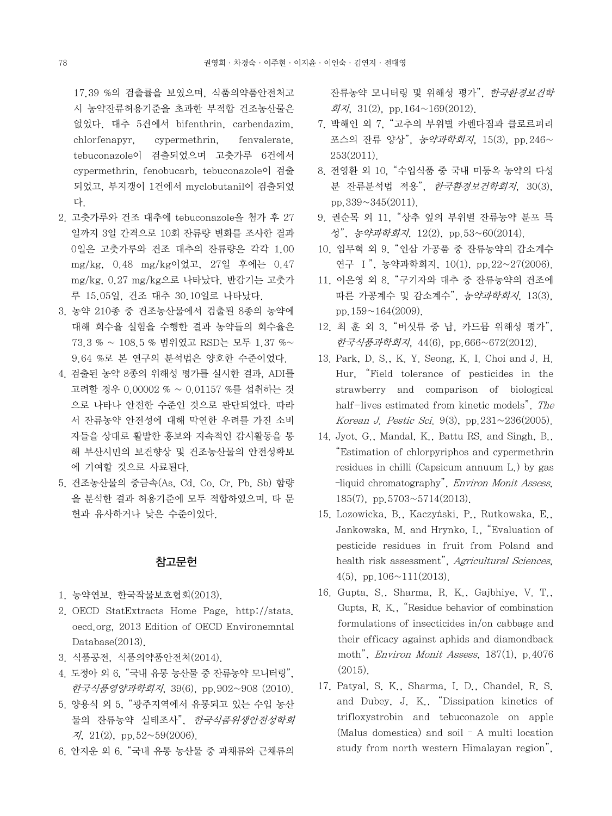17.39 %의 검출률을 보였으며, 식품의약품안전처고 시 농약잔류허용기준을 초과한 부적합 건조농산물은 없었다. 대추 5건에서 bifenthrin, carbendazim, chlorfenapyr, cypermethrin, fenvalerate, tebuconazole이 검출되었으며 고춧가루 6건에서 cypermethrin, fenobucarb, tebuconazole이 검출 되었고, 부지갱이 1건에서 myclobutanil이 검출되었 다.

- 2. 고춧가루와 건조 대추에 tebuconazole을 첨가 후 27 일까지 3일 간격으로 10회 잔류량 변화를 조사한 결과 0일은 고춧가루와 건조 대추의 잔류량은 각각 1.00 mg/kg, 0.48 mg/kg이었고, 27일 후에는 0.47 mg/kg, 0.27 mg/kg으로 나타났다. 반감기는 고춧가 루 15.05일, 건조 대추 30.10일로 나타났다.
- 3. 농약 210종 중 건조농산물에서 검출된 8종의 농약에 대해 회수율 실험을 수행한 결과 농약들의 회수율은 73.3 % ~ 108.5 % 범위였고 RSD는 모두 1.37 %~ 9.64 %로 본 연구의 분석법은 양호한 수준이었다.
- 4. 검출된 농약 8종의 위해성 평가를 실시한 결과, ADI를 고려할 경우 0.00002 % ~ 0.01157 %를 섭취하는 것 으로 나타나 안전한 수준인 것으로 판단되었다. 따라 서 잔류농약 안전성에 대해 막연한 우려를 가진 소비 자들을 상대로 활발한 홍보와 지속적인 감시활동을 통 해 부산시민의 보건향상 및 건조농산물의 안전성확보 에 기여할 것으로 사료된다.
- 5. 건조농산물의 중금속(As, Cd, Co, Cr, Pb, Sb) 함량 을 분석한 결과 허용기준에 모두 적합하였으며, 타 문 헌과 유사하거나 낮은 수준이었다.

## 참고문헌

- 1. 농약연보, 한국작물보호협회(2013).
- 2. OECD StatExtracts Home Page, http://stats. oecd.org, 2013 Edition of OECD Environemntal Database(2013).
- 3. 식품공전, 식품의약품안전처(2014).
- 4. 도정아 외 6, "국내 유통 농산물 중 잔류농약 모니터링", 한국식품영양과학회지, 39(6), pp.902~908 (2010).
- 5. 양용식 외 5, "광주지역에서 유통되고 있는 수입 농산 물의 잔류농약 실태조사", 한국식품위생안전성학회  $\lambda$ , 21(2), pp.52~59(2006).
- 6. 안지운 외 6, "국내 유통 농산물 중 과채류와 근채류의

잔류농약 모니터링 및 위해성 평가", 한국환경보건학 회지, 31(2), pp.164~169(2012).

- 7. 박해인 외 7, "고추의 부위별 카벤다짐과 클로르피리 포스의 잔류 양상", 농약과학회지, 15(3), pp.246~ 253(2011).
- 8. 전영환 외 10, "수입식품 중 국내 미등옥 농약의 다성 분 잔류분석법 적용", 한국환경보건학회지, 30(3), pp.339~345(2011).
- 9. 권순목 외 11, "상추 잎의 부위별 잔류농약 분포 특 성", 농약과학회지, 12(2), pp.53~60(2014).
- 10. 임무혁 외 9, "인삼 가공품 중 잔류농약의 감소계수 연구 Ⅰ", 농약과학회지, 10(1), pp.22~27(2006).
- 11. 이은영 외 8, "구기자와 대추 중 잔류농약의 건조에 따른 가공계수 및 감소계수", 농약과학회지, 13(3), pp.159~164(2009).
- 12. 최 훈 외 3, "버섯류 중 납, 카드뮴 위해성 평가", 한국식품과학회지, 44(6), pp.666~672(2012).
- 13. Park, D. S., K. Y. Seong, K. I. Choi and J. H. Hur, "Field tolerance of pesticides in the strawberry and comparison of biological half-lives estimated from kinetic models". The Korean J. Pestic Sci. 9(3), pp.231~236(2005).
- 14. Jyot, G., Mandal, K., Battu RS. and Singh, B., "Estimation of chlorpyriphos and cypermethrin residues in chilli (Capsicum annuum L.) by gas –liquid chromatography", Environ Monit Assess,  $185(7)$ , pp. $5703 \sim 5714(2013)$ .
- 15. Lozowicka, B., Kaczyński, P., Rutkowska, E., Jankowska, M. and Hrynko, I., "Evaluation of pesticide residues in fruit from Poland and health risk assessment", Agricultural Sciences, 4(5), pp.  $106 \sim 111(2013)$ .
- 16. Gupta, S., Sharma, R. K., Gajbhiye, V. T., Gupta, R. K., "Residue behavior of combination formulations of insecticides in/on cabbage and their efficacy against aphids and diamondback moth", Environ Monit Assess, 187(1), p.4076 (2015).
- 17. Patyal, S. K., Sharma, I. D., Chandel, R. S. and Dubey, J. K., "Dissipation kinetics of trifloxystrobin and tebuconazole on apple (Malus domestica) and soil – A multi location study from north western Himalayan region",